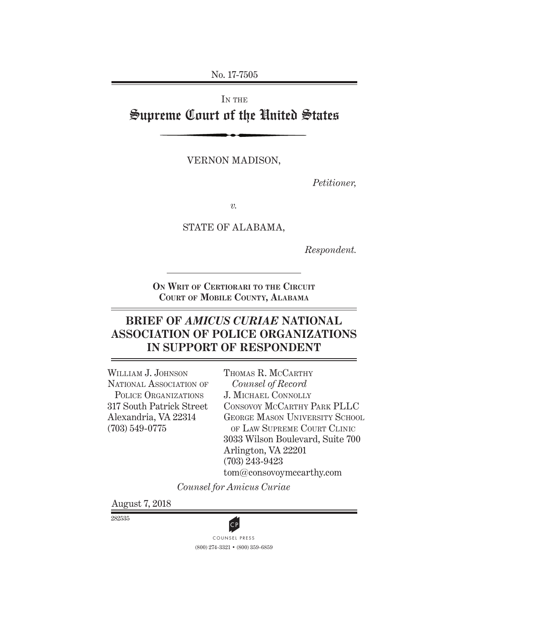No. 17-7505

# IN THE Supreme Court of the United States

vernon madison,

*Petitioner,*

*v.*

STATE OF ALABAMA,

*Respondent.*

**On Writ of Certiorari to the Circuit Court of Mobile County, Alabama**

# **BRIEF OF** *AMICUS CURIAE* **NATIONAL ASSOCIATION OF POLICE ORGANIZATIONS IN SUPPORT OF RESPONDENT**

WILLIAM J. JOHNSON NATIONAL ASSOCIATION OF Police Organizations 317 South Patrick Street Alexandria, VA 22314 (703) 549-0775

THOMAS R. MCCARTHY *Counsel of Record*  J. Michael Connolly Consovoy McCarthy Park PLLC GEORGE MASON UNIVERSITY SCHOOL of Law Supreme Court Clinic 3033 Wilson Boulevard, Suite 700 Arlington, VA 22201 (703) 243-9423 tom@consovoymccarthy.com

*Counsel for Amicus Curiae*

August 7, 2018

282535



(800) 274-3321 • (800) 359-6859 **CP**<br>COUNSEL PRESS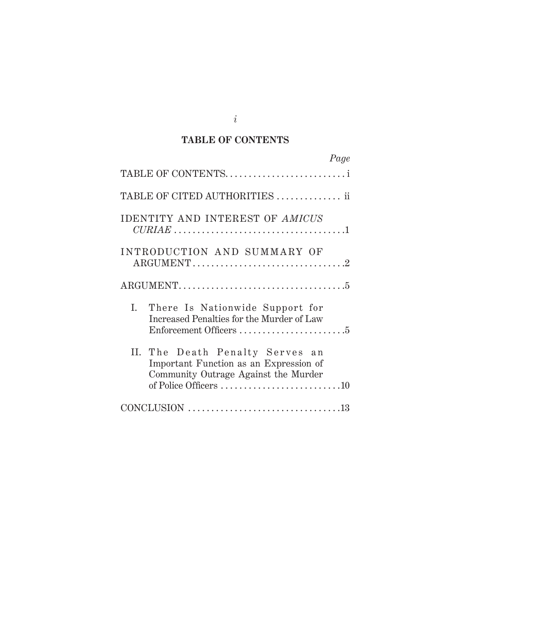### **TABLE OF CONTENTS**

| Page                                                                                                                       |
|----------------------------------------------------------------------------------------------------------------------------|
| TABLE OF CONTENTS                                                                                                          |
| TABLE OF CITED AUTHORITIES  ii                                                                                             |
| <b>IDENTITY AND INTEREST OF AMICUS</b><br>CURL 1.1                                                                         |
| INTRODUCTION AND SUMMARY OF<br>$\text{ARGUMENT} \dots \dots \dots \dots \dots \dots \dots \dots \dots \dots \dots \dots 2$ |
|                                                                                                                            |
| I. There Is Nationwide Support for<br>Increased Penalties for the Murder of Law                                            |
| II. The Death Penalty Serves an<br>Important Function as an Expression of<br>Community Outrage Against the Murder          |
|                                                                                                                            |

*i*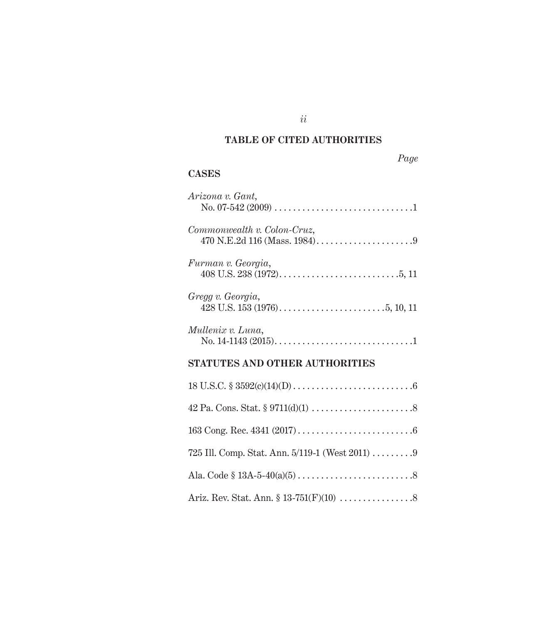### **TABLE OF CITED AUThORITIES**

*ii*

| L |
|---|
|---|

### **Cases**

| Arizona v. Gant,                      |
|---------------------------------------|
| Commonwealth v. Colon-Cruz,           |
| Furman v. Georgia,                    |
| Gregg v. Georgia,                     |
| Mullenix v. Luna,                     |
| <b>STATUTES AND OTHER AUTHORITIES</b> |
|                                       |
|                                       |

| Ariz. Rev. Stat. Ann. $$ 13-751(F)(10) \dots \dots \dots \dots \dots 8$ |
|-------------------------------------------------------------------------|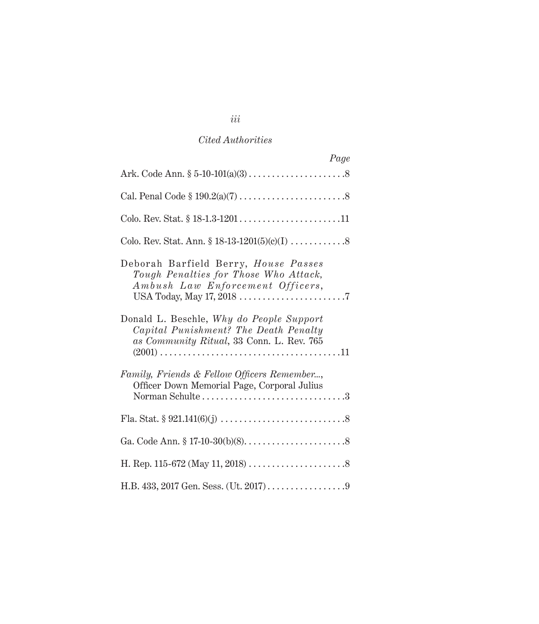| Page                                                                                                                           |
|--------------------------------------------------------------------------------------------------------------------------------|
|                                                                                                                                |
|                                                                                                                                |
|                                                                                                                                |
|                                                                                                                                |
| Deborah Barfield Berry, House Passes<br>Tough Penalties for Those Who Attack,<br>Ambush Law Enforcement Officers,              |
| Donald L. Beschle, Why do People Support<br>Capital Punishment? The Death Penalty<br>as Community Ritual, 33 Conn. L. Rev. 765 |
| Family, Friends & Fellow Officers Remember,<br>Officer Down Memorial Page, Corporal Julius                                     |
|                                                                                                                                |
|                                                                                                                                |
|                                                                                                                                |
|                                                                                                                                |

*iii*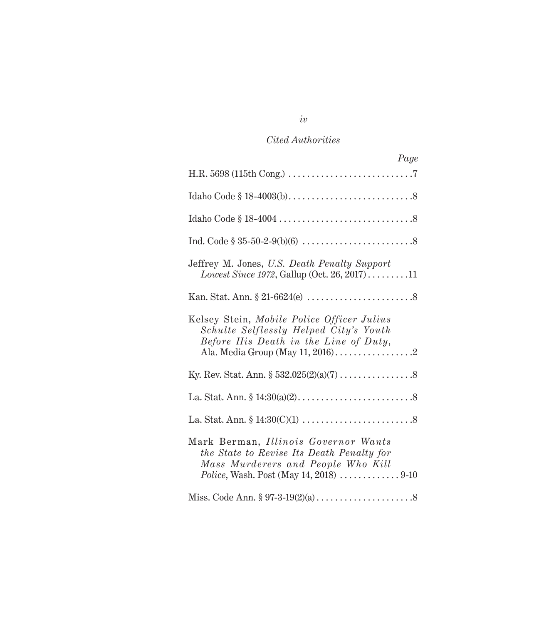| Page                                                                                                                                                                                                           |
|----------------------------------------------------------------------------------------------------------------------------------------------------------------------------------------------------------------|
|                                                                                                                                                                                                                |
|                                                                                                                                                                                                                |
|                                                                                                                                                                                                                |
|                                                                                                                                                                                                                |
| Jeffrey M. Jones, U.S. Death Penalty Support<br>Lowest Since 1972, Gallup (Oct. 26, 2017)11                                                                                                                    |
|                                                                                                                                                                                                                |
| Kelsey Stein, Mobile Police Officer Julius<br>Schulte Selflessly Helped City's Youth<br>Before His Death in the Line of Duty,                                                                                  |
|                                                                                                                                                                                                                |
|                                                                                                                                                                                                                |
|                                                                                                                                                                                                                |
| Mark Berman, Illinois Governor Wants<br>the State to Revise Its Death Penalty for<br>Mass Murderers and People Who Kill<br><i>Police</i> , Wash. Post (May 14, 2018) $\ldots \ldots \ldots \ldots \ldots$ 9-10 |
|                                                                                                                                                                                                                |

*iv*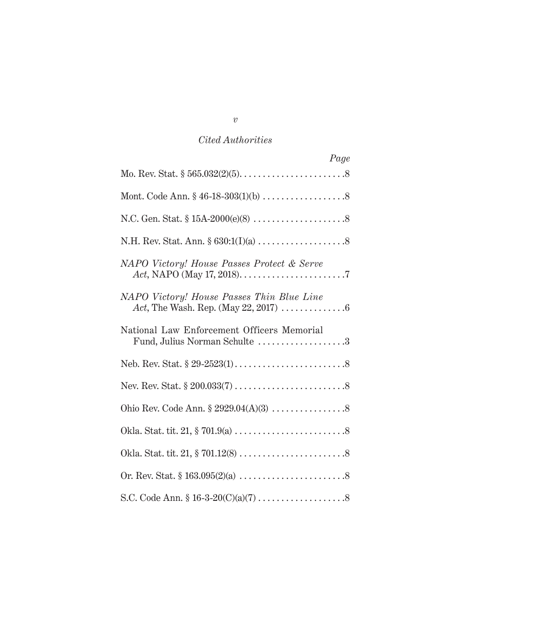| Page                                                                                                        |
|-------------------------------------------------------------------------------------------------------------|
|                                                                                                             |
|                                                                                                             |
|                                                                                                             |
|                                                                                                             |
| NAPO Victory! House Passes Protect & Serve                                                                  |
| NAPO Victory! House Passes Thin Blue Line<br>Act, The Wash. Rep. (May 22, 2017) $\dots \dots \dots \dots 6$ |
| National Law Enforcement Officers Memorial<br>Fund, Julius Norman Schulte 3                                 |
|                                                                                                             |
|                                                                                                             |
|                                                                                                             |
|                                                                                                             |
|                                                                                                             |
|                                                                                                             |
|                                                                                                             |

*v*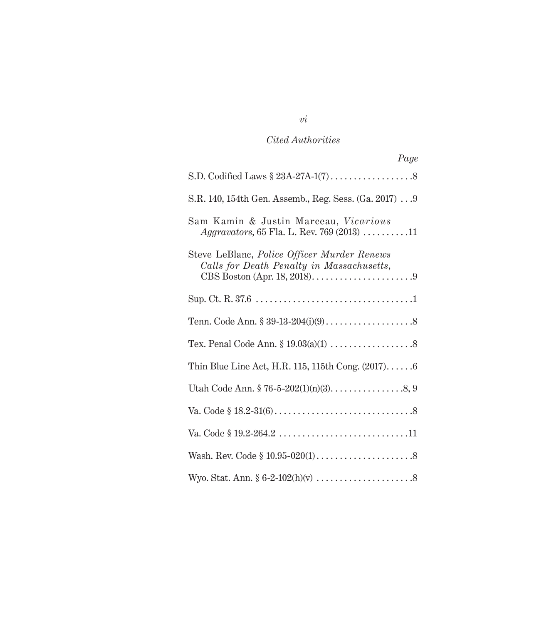| Page                                                                                                                                                          |
|---------------------------------------------------------------------------------------------------------------------------------------------------------------|
|                                                                                                                                                               |
| S.R. 140, 154th Gen. Assemb., Reg. Sess. (Ga. 2017)  9                                                                                                        |
| Sam Kamin & Justin Marceau, Vicarious<br><i>Aggravators</i> , 65 Fla. L. Rev. 769 (2013) $\dots \dots \dots 11$                                               |
| Steve LeBlanc, Police Officer Murder Renews<br>Calls for Death Penalty in Massachusetts,<br>CBS Boston (Apr. 18, 2018). $\dots \dots \dots \dots \dots \dots$ |
|                                                                                                                                                               |
|                                                                                                                                                               |
|                                                                                                                                                               |
| Thin Blue Line Act, H.R. 115, 115th Cong. $(2017)$ 6                                                                                                          |
|                                                                                                                                                               |
|                                                                                                                                                               |
|                                                                                                                                                               |
|                                                                                                                                                               |
|                                                                                                                                                               |

# *vi*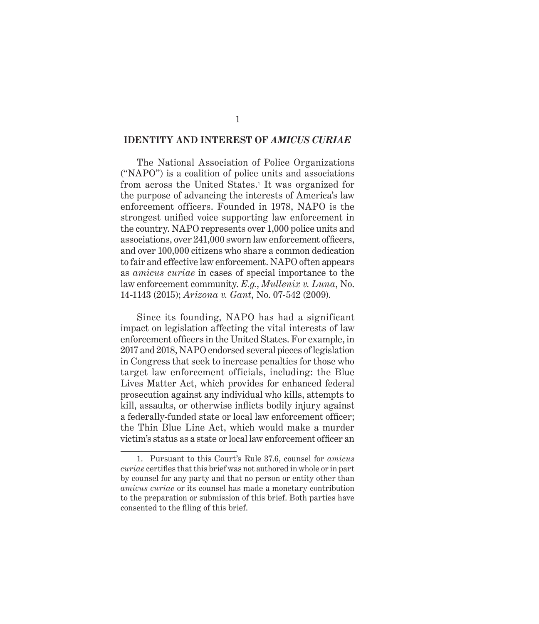#### **IDENTITY AND INTEREST OF** *AMICUS CURIAE*

The National Association of Police Organizations ("NAPO") is a coalition of police units and associations from across the United States.1 It was organized for the purpose of advancing the interests of America's law enforcement officers. Founded in 1978, NAPO is the strongest unified voice supporting law enforcement in the country. NAPO represents over 1,000 police units and associations, over 241,000 sworn law enforcement officers, and over 100,000 citizens who share a common dedication to fair and effective law enforcement. NAPO often appears as *amicus curiae* in cases of special importance to the law enforcement community. *E.g.*, *Mullenix v. Luna*, No. 14-1143 (2015); *Arizona v. Gant*, No. 07-542 (2009).

Since its founding, NAPO has had a significant impact on legislation affecting the vital interests of law enforcement officers in the United States. For example, in 2017 and 2018, NAPO endorsed several pieces of legislation in Congress that seek to increase penalties for those who target law enforcement officials, including: the Blue Lives Matter Act, which provides for enhanced federal prosecution against any individual who kills, attempts to kill, assaults, or otherwise inflicts bodily injury against a federally-funded state or local law enforcement officer; the Thin Blue Line Act, which would make a murder victim's status as a state or local law enforcement officer an

<sup>1.</sup> Pursuant to this Court's Rule 37.6, counsel for *amicus curiae* certifies that this brief was not authored in whole or in part by counsel for any party and that no person or entity other than *amicus curiae* or its counsel has made a monetary contribution to the preparation or submission of this brief. Both parties have consented to the filing of this brief.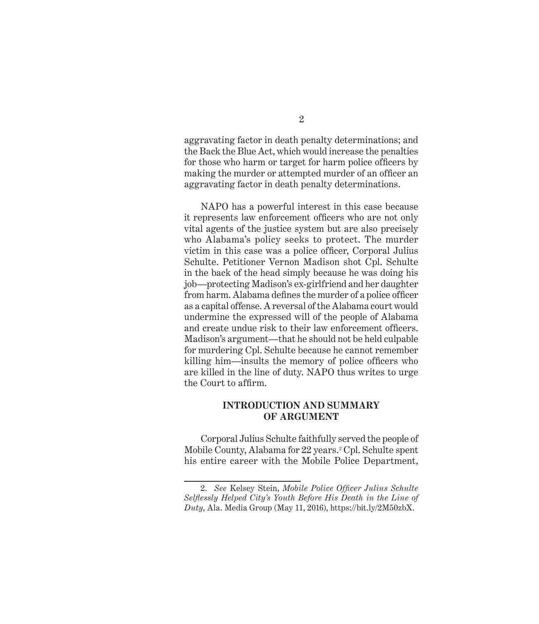aggravating factor in death penalty determinations; and the Back the Blue Act, which would increase the penalties for those who harm or target for harm police officers by making the murder or attempted murder of an officer an aggravating factor in death penalty determinations.

NAPO has a powerful interest in this case because it represents law enforcement officers who are not only vital agents of the justice system but are also precisely who Alabama's policy seeks to protect. The murder victim in this case was a police officer, Corporal Julius Schulte. Petitioner Vernon Madison shot Cpl. Schulte in the back of the head simply because he was doing his job—protecting Madison's ex-girlfriend and her daughter from harm. Alabama defines the murder of a police officer as a capital offense. A reversal of the Alabama court would undermine the expressed will of the people of Alabama and create undue risk to their law enforcement officers. Madison's argument—that he should not be held culpable for murdering Cpl. Schulte because he cannot remember killing him—insults the memory of police officers who are killed in the line of duty. NAPO thus writes to urge the Court to affirm.

#### **INTRODUCTION AND SUMMARY OF ARGUMENT**

Corporal Julius Schulte faithfully served the people of Mobile County, Alabama for 22 years.<sup>2</sup> Cpl. Schulte spent his entire career with the Mobile Police Department,

<sup>2.</sup> *See* Kelsey Stein, *Mobile Police Officer Julius Schulte Selflessly Helped City's Youth Before His Death in the Line of Duty*, Ala. Media Group (May 11, 2016), https://bit.ly/2M50zbX.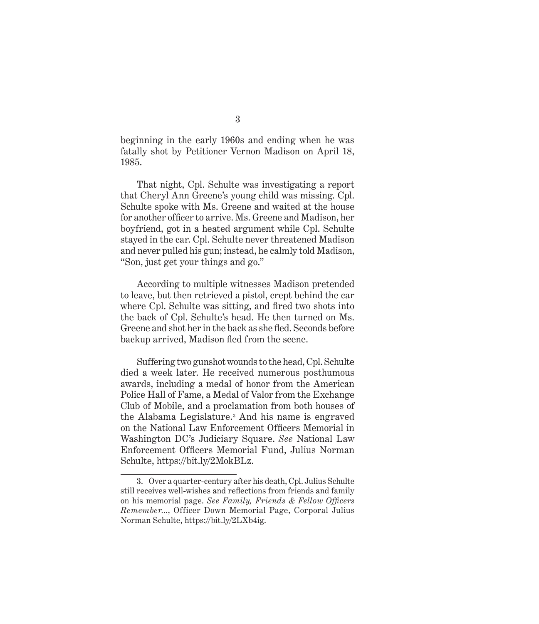beginning in the early 1960s and ending when he was fatally shot by Petitioner Vernon Madison on April 18, 1985.

That night, Cpl. Schulte was investigating a report that Cheryl Ann Greene's young child was missing. Cpl. Schulte spoke with Ms. Greene and waited at the house for another officer to arrive. Ms. Greene and Madison, her boyfriend, got in a heated argument while Cpl. Schulte stayed in the car. Cpl. Schulte never threatened Madison and never pulled his gun; instead, he calmly told Madison, "Son, just get your things and go."

According to multiple witnesses Madison pretended to leave, but then retrieved a pistol, crept behind the car where Cpl. Schulte was sitting, and fired two shots into the back of Cpl. Schulte's head. He then turned on Ms. Greene and shot her in the back as she fled. Seconds before backup arrived, Madison fled from the scene.

Suffering two gunshot wounds to the head, Cpl. Schulte died a week later. He received numerous posthumous awards, including a medal of honor from the American Police Hall of Fame, a Medal of Valor from the Exchange Club of Mobile, and a proclamation from both houses of the Alabama Legislature.3 And his name is engraved on the National Law Enforcement Officers Memorial in Washington DC's Judiciary Square. *See* National Law Enforcement Officers Memorial Fund, Julius Norman Schulte, https://bit.ly/2MokBLz.

<sup>3.</sup> Over a quarter-century after his death, Cpl. Julius Schulte still receives well-wishes and reflections from friends and family on his memorial page. *See Family, Friends & Fellow Officers Remember...*, Officer Down Memorial Page, Corporal Julius Norman Schulte, https://bit.ly/2LXb4ig.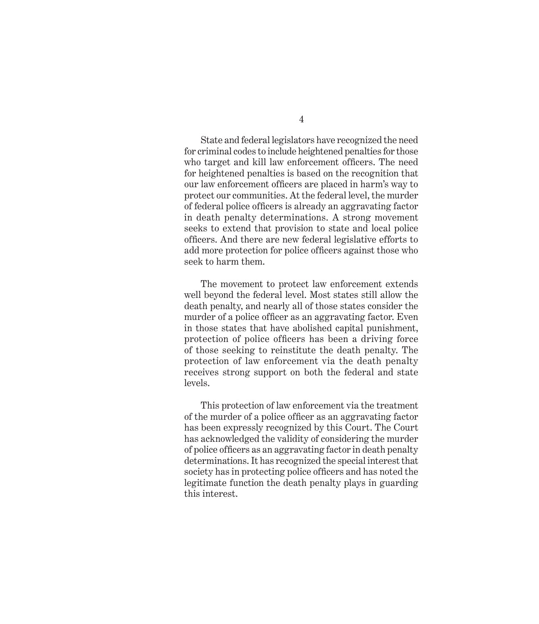State and federal legislators have recognized the need for criminal codes to include heightened penalties for those who target and kill law enforcement officers. The need for heightened penalties is based on the recognition that our law enforcement officers are placed in harm's way to protect our communities. At the federal level, the murder of federal police officers is already an aggravating factor in death penalty determinations. A strong movement seeks to extend that provision to state and local police officers. And there are new federal legislative efforts to add more protection for police officers against those who seek to harm them.

The movement to protect law enforcement extends well beyond the federal level. Most states still allow the death penalty, and nearly all of those states consider the murder of a police officer as an aggravating factor. Even in those states that have abolished capital punishment, protection of police officers has been a driving force of those seeking to reinstitute the death penalty. The protection of law enforcement via the death penalty receives strong support on both the federal and state levels.

This protection of law enforcement via the treatment of the murder of a police officer as an aggravating factor has been expressly recognized by this Court. The Court has acknowledged the validity of considering the murder of police officers as an aggravating factor in death penalty determinations. It has recognized the special interest that society has in protecting police officers and has noted the legitimate function the death penalty plays in guarding this interest.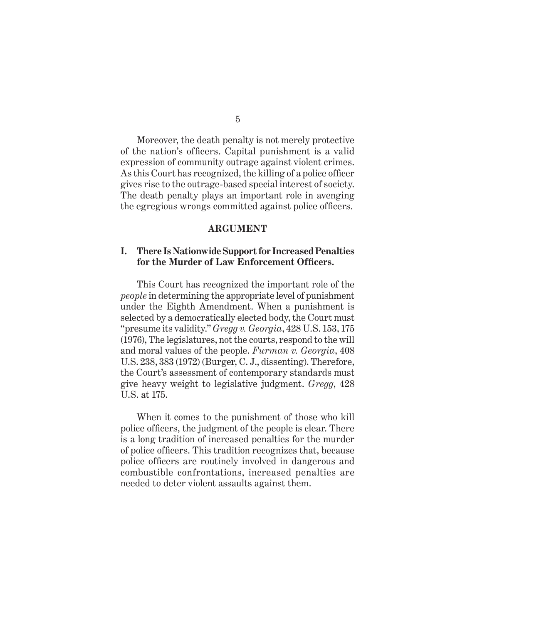Moreover, the death penalty is not merely protective of the nation's officers. Capital punishment is a valid expression of community outrage against violent crimes. As this Court has recognized, the killing of a police officer gives rise to the outrage-based special interest of society. The death penalty plays an important role in avenging the egregious wrongs committed against police officers.

#### **ARGUMENT**

#### **I. There Is Nationwide Support for Increased Penalties for the Murder of Law Enforcement Officers.**

This Court has recognized the important role of the *people* in determining the appropriate level of punishment under the Eighth Amendment. When a punishment is selected by a democratically elected body, the Court must "presume its validity." *Gregg v. Georgia*, 428 U.S. 153, 175 (1976), The legislatures, not the courts, respond to the will and moral values of the people. *Furman v. Georgia*, 408 U.S. 238, 383 (1972) (Burger, C. J., dissenting). Therefore, the Court's assessment of contemporary standards must give heavy weight to legislative judgment. *Gregg*, 428 U.S. at 175.

When it comes to the punishment of those who kill police officers, the judgment of the people is clear. There is a long tradition of increased penalties for the murder of police officers. This tradition recognizes that, because police officers are routinely involved in dangerous and combustible confrontations, increased penalties are needed to deter violent assaults against them.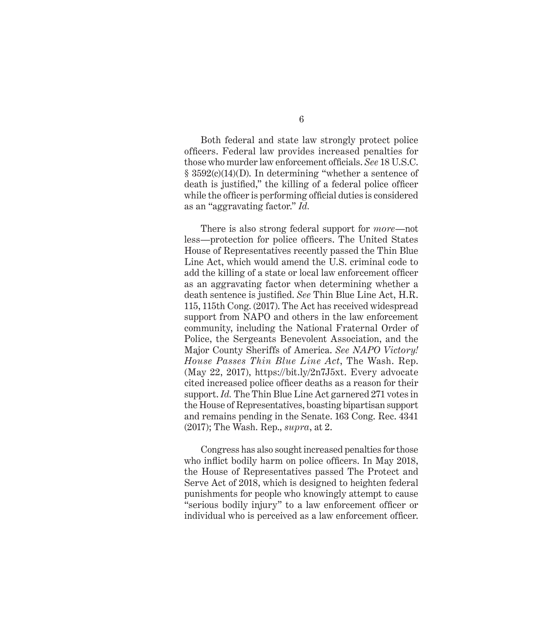Both federal and state law strongly protect police officers. Federal law provides increased penalties for those who murder law enforcement officials. *See* 18 U.S.C. § 3592(c)(14)(D). In determining "whether a sentence of death is justified," the killing of a federal police officer while the officer is performing official duties is considered as an "aggravating factor." *Id.*

There is also strong federal support for *more*—not less—protection for police officers. The United States House of Representatives recently passed the Thin Blue Line Act, which would amend the U.S. criminal code to add the killing of a state or local law enforcement officer as an aggravating factor when determining whether a death sentence is justified. *See* Thin Blue Line Act, H.R. 115, 115th Cong. (2017). The Act has received widespread support from NAPO and others in the law enforcement community, including the National Fraternal Order of Police, the Sergeants Benevolent Association, and the Major County Sheriffs of America. *See NAPO Victory! House Passes Thin Blue Line Act*, The Wash. Rep. (May 22, 2017), https://bit.ly/2n7J5xt. Every advocate cited increased police officer deaths as a reason for their support. *Id.* The Thin Blue Line Act garnered 271 votes in the House of Representatives, boasting bipartisan support and remains pending in the Senate. 163 Cong. Rec. 4341 (2017); The Wash. Rep., *supra*, at 2.

Congress has also sought increased penalties for those who inflict bodily harm on police officers. In May 2018, the House of Representatives passed The Protect and Serve Act of 2018, which is designed to heighten federal punishments for people who knowingly attempt to cause "serious bodily injury" to a law enforcement officer or individual who is perceived as a law enforcement officer.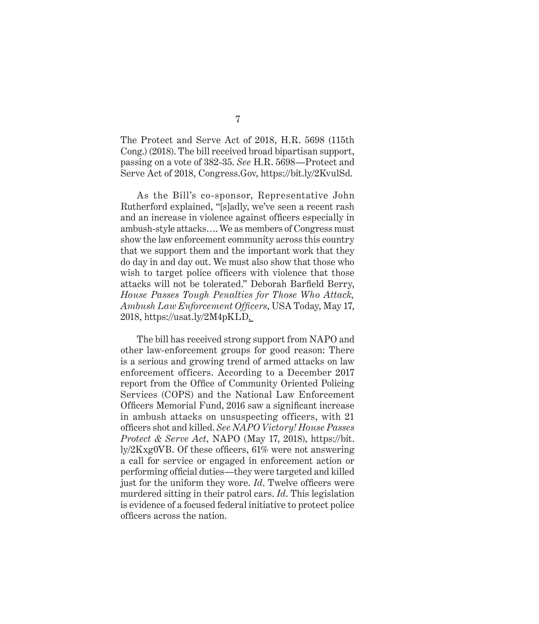The Protect and Serve Act of 2018, H.R. 5698 (115th Cong.) (2018). The bill received broad bipartisan support, passing on a vote of 382-35. *See* H.R. 5698—Protect and Serve Act of 2018, Congress.Gov, https://bit.ly/2KvulSd.

As the Bill's co-sponsor, Representative John Rutherford explained, "[s]adly, we've seen a recent rash and an increase in violence against officers especially in ambush-style attacks…. We as members of Congress must show the law enforcement community across this country that we support them and the important work that they do day in and day out. We must also show that those who wish to target police officers with violence that those attacks will not be tolerated." Deborah Barfield Berry, *House Passes Tough Penalties for Those Who Attack, Ambush Law Enforcement Officers*, USA Today, May 17, 2018, https://usat.ly/2M4pKLD .

The bill has received strong support from NAPO and other law-enforcement groups for good reason: There is a serious and growing trend of armed attacks on law enforcement officers. According to a December 2017 report from the Office of Community Oriented Policing Services (COPS) and the National Law Enforcement Officers Memorial Fund, 2016 saw a significant increase in ambush attacks on unsuspecting officers, with 21 officers shot and killed. *See NAPO Victory! House Passes Protect & Serve Act*, NAPO (May 17, 2018), https://bit. ly/2Kxg0VB. Of these officers, 61% were not answering a call for service or engaged in enforcement action or performing official duties—they were targeted and killed just for the uniform they wore. *Id*. Twelve officers were murdered sitting in their patrol cars. *Id*. This legislation is evidence of a focused federal initiative to protect police officers across the nation.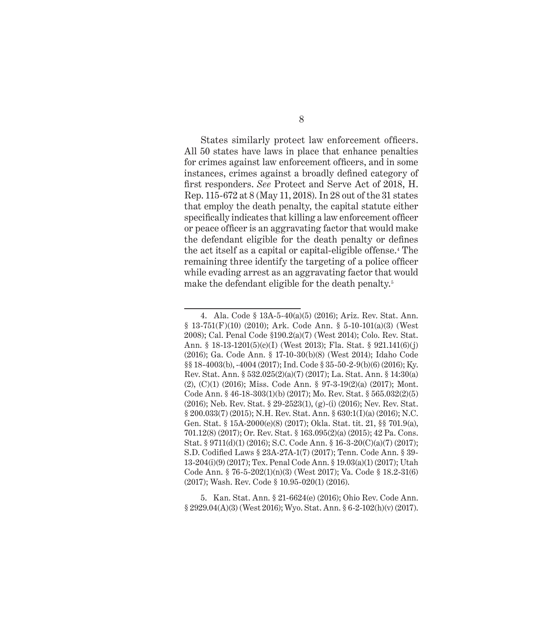States similarly protect law enforcement officers. All 50 states have laws in place that enhance penalties for crimes against law enforcement officers, and in some instances, crimes against a broadly defined category of first responders. *See* Protect and Serve Act of 2018, H. Rep. 115-672 at 8 (May 11, 2018). In 28 out of the 31 states that employ the death penalty, the capital statute either specifically indicates that killing a law enforcement officer or peace officer is an aggravating factor that would make the defendant eligible for the death penalty or defines the act itself as a capital or capital-eligible offense.4 The remaining three identify the targeting of a police officer while evading arrest as an aggravating factor that would make the defendant eligible for the death penalty.<sup>5</sup>

5. Kan. Stat. Ann. § 21-6624(e) (2016); Ohio Rev. Code Ann. § 2929.04(A)(3) (West 2016); Wyo. Stat. Ann. § 6-2-102(h)(v) (2017).

<sup>4.</sup> Ala. Code § 13A-5-40(a)(5) (2016); Ariz. Rev. Stat. Ann. § 13-751(F)(10) (2010); Ark. Code Ann. § 5-10-101(a)(3) (West 2008); Cal. Penal Code §190.2(a)(7) (West 2014); Colo. Rev. Stat. Ann. § 18-13-1201(5)(c)(I) (West 2013); Fla. Stat. § 921.141(6)(j) (2016); Ga. Code Ann. § 17-10-30(b)(8) (West 2014); Idaho Code §§ 18-4003(b), -4004 (2017); Ind. Code § 35-50-2-9(b)(6) (2016); Ky. Rev. Stat. Ann. § 532.025(2)(a)(7) (2017); La. Stat. Ann. § 14:30(a) (2), (C)(1) (2016); Miss. Code Ann. § 97-3-19(2)(a) (2017); Mont. Code Ann. § 46-18-303(1)(b) (2017); Mo. Rev. Stat. § 565.032(2)(5) (2016); Neb. Rev. Stat. § 29-2523(1), (g)-(i) (2016); Nev. Rev. Stat. § 200.033(7) (2015); N.H. Rev. Stat. Ann. § 630:1(I)(a) (2016); N.C. Gen. Stat. § 15A-2000(e)(8) (2017); Okla. Stat. tit. 21, §§ 701.9(a), 701.12(8) (2017); Or. Rev. Stat. § 163.095(2)(a) (2015); 42 Pa. Cons. Stat. § 9711(d)(1) (2016); S.C. Code Ann. § 16-3-20(C)(a)(7) (2017); S.D. Codified Laws § 23A-27A-1(7) (2017); Tenn. Code Ann. § 39- 13-204(i)(9) (2017); Tex. Penal Code Ann. § 19.03(a)(1) (2017); Utah Code Ann. § 76-5-202(1)(n)(3) (West 2017); Va. Code § 18.2-31(6) (2017); Wash. Rev. Code § 10.95-020(1) (2016).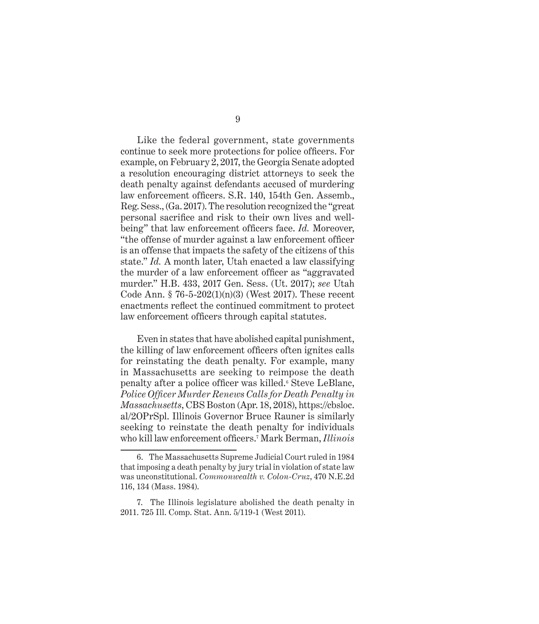Like the federal government, state governments continue to seek more protections for police officers. For example, on February 2, 2017, the Georgia Senate adopted a resolution encouraging district attorneys to seek the death penalty against defendants accused of murdering law enforcement officers. S.R. 140, 154th Gen. Assemb., Reg. Sess., (Ga. 2017). The resolution recognized the "great personal sacrifice and risk to their own lives and wellbeing" that law enforcement officers face. *Id.* Moreover, "the offense of murder against a law enforcement officer is an offense that impacts the safety of the citizens of this state." *Id.* A month later, Utah enacted a law classifying the murder of a law enforcement officer as "aggravated murder." H.B. 433, 2017 Gen. Sess. (Ut. 2017); *see* Utah Code Ann. § 76-5-202(1)(n)(3) (West 2017). These recent enactments reflect the continued commitment to protect law enforcement officers through capital statutes.

Even in states that have abolished capital punishment, the killing of law enforcement officers often ignites calls for reinstating the death penalty. For example, many in Massachusetts are seeking to reimpose the death penalty after a police officer was killed.6 Steve LeBlanc, *Police Officer Murder Renews Calls for Death Penalty in Massachusetts*, CBS Boston (Apr. 18, 2018), https://cbsloc. al/2OPrSpl. Illinois Governor Bruce Rauner is similarly seeking to reinstate the death penalty for individuals who kill law enforcement officers.<sup>7</sup> Mark Berman, *Illinois* 

<sup>6.</sup> The Massachusetts Supreme Judicial Court ruled in 1984 that imposing a death penalty by jury trial in violation of state law was unconstitutional. *Commonwealth v. Colon-Cruz*, 470 N.E.2d 116, 134 (Mass. 1984).

<sup>7.</sup> The Illinois legislature abolished the death penalty in 2011. 725 Ill. Comp. Stat. Ann. 5/119-1 (West 2011).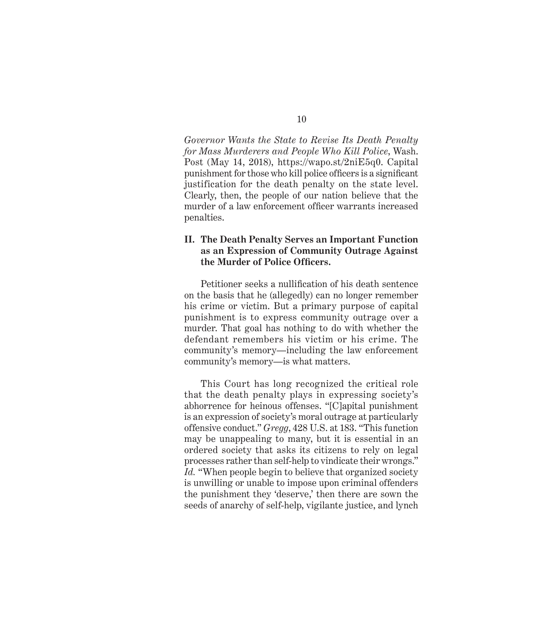*Governor Wants the State to Revise Its Death Penalty for Mass Murderers and People Who Kill Police*, Wash. Post (May 14, 2018), https://wapo.st/2niE5q0. Capital punishment for those who kill police officers is a significant justification for the death penalty on the state level. Clearly, then, the people of our nation believe that the murder of a law enforcement officer warrants increased penalties.

#### **II. The Death Penalty Serves an Important Function as an Expression of Community Outrage Against the Murder of Police Officers.**

Petitioner seeks a nullification of his death sentence on the basis that he (allegedly) can no longer remember his crime or victim. But a primary purpose of capital punishment is to express community outrage over a murder. That goal has nothing to do with whether the defendant remembers his victim or his crime. The community's memory—including the law enforcement community's memory—is what matters.

This Court has long recognized the critical role that the death penalty plays in expressing society's abhorrence for heinous offenses. "[C]apital punishment is an expression of society's moral outrage at particularly offensive conduct." *Gregg*, 428 U.S. at 183. "This function may be unappealing to many, but it is essential in an ordered society that asks its citizens to rely on legal processes rather than self-help to vindicate their wrongs." Id. "When people begin to believe that organized society is unwilling or unable to impose upon criminal offenders the punishment they 'deserve,' then there are sown the seeds of anarchy of self-help, vigilante justice, and lynch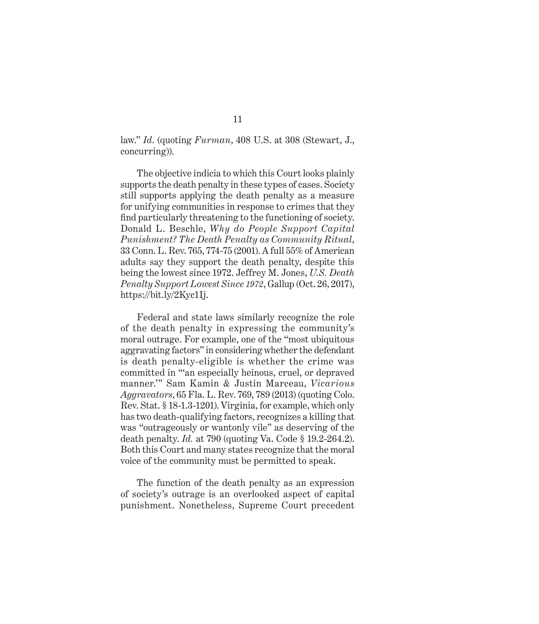law." *Id*. (quoting *Furman*, 408 U.S. at 308 (Stewart, J., concurring)).

The objective indicia to which this Court looks plainly supports the death penalty in these types of cases. Society still supports applying the death penalty as a measure for unifying communities in response to crimes that they find particularly threatening to the functioning of society. Donald L. Beschle, *Why do People Support Capital Punishment? The Death Penalty as Community Ritual*, 33 Conn. L. Rev. 765, 774-75 (2001). A full 55% of American adults say they support the death penalty, despite this being the lowest since 1972. Jeffrey M. Jones, *U.S. Death Penalty Support Lowest Since 1972*, Gallup (Oct. 26, 2017), https://bit.ly/2Kyc1Ij.

Federal and state laws similarly recognize the role of the death penalty in expressing the community's moral outrage. For example, one of the "most ubiquitous aggravating factors" in considering whether the defendant is death penalty-eligible is whether the crime was committed in "'an especially heinous, cruel, or depraved manner.'" Sam Kamin & Justin Marceau, *Vicarious Aggravators*, 65 Fla. L. Rev. 769, 789 (2013) (quoting Colo. Rev. Stat. § 18-1.3-1201). Virginia, for example, which only has two death-qualifying factors, recognizes a killing that was "outrageously or wantonly vile" as deserving of the death penalty. *Id.* at 790 (quoting Va. Code § 19.2-264.2). Both this Court and many states recognize that the moral voice of the community must be permitted to speak.

The function of the death penalty as an expression of society's outrage is an overlooked aspect of capital punishment. Nonetheless, Supreme Court precedent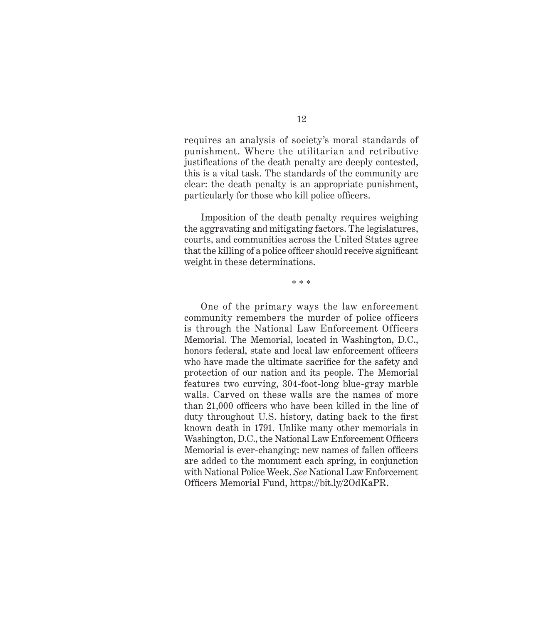requires an analysis of society's moral standards of punishment. Where the utilitarian and retributive justifications of the death penalty are deeply contested, this is a vital task. The standards of the community are clear: the death penalty is an appropriate punishment, particularly for those who kill police officers.

Imposition of the death penalty requires weighing the aggravating and mitigating factors. The legislatures, courts, and communities across the United States agree that the killing of a police officer should receive significant weight in these determinations.

\* \* \*

One of the primary ways the law enforcement community remembers the murder of police officers is through the National Law Enforcement Officers Memorial. The Memorial, located in Washington, D.C., honors federal, state and local law enforcement officers who have made the ultimate sacrifice for the safety and protection of our nation and its people. The Memorial features two curving, 304-foot-long blue-gray marble walls. Carved on these walls are the names of more than 21,000 officers who have been killed in the line of duty throughout U.S. history, dating back to the first known death in 1791. Unlike many other memorials in Washington, D.C., the National Law Enforcement Officers Memorial is ever-changing: new names of fallen officers are added to the monument each spring, in conjunction with National Police Week. *See* National Law Enforcement Officers Memorial Fund, https://bit.ly/2OdKaPR.